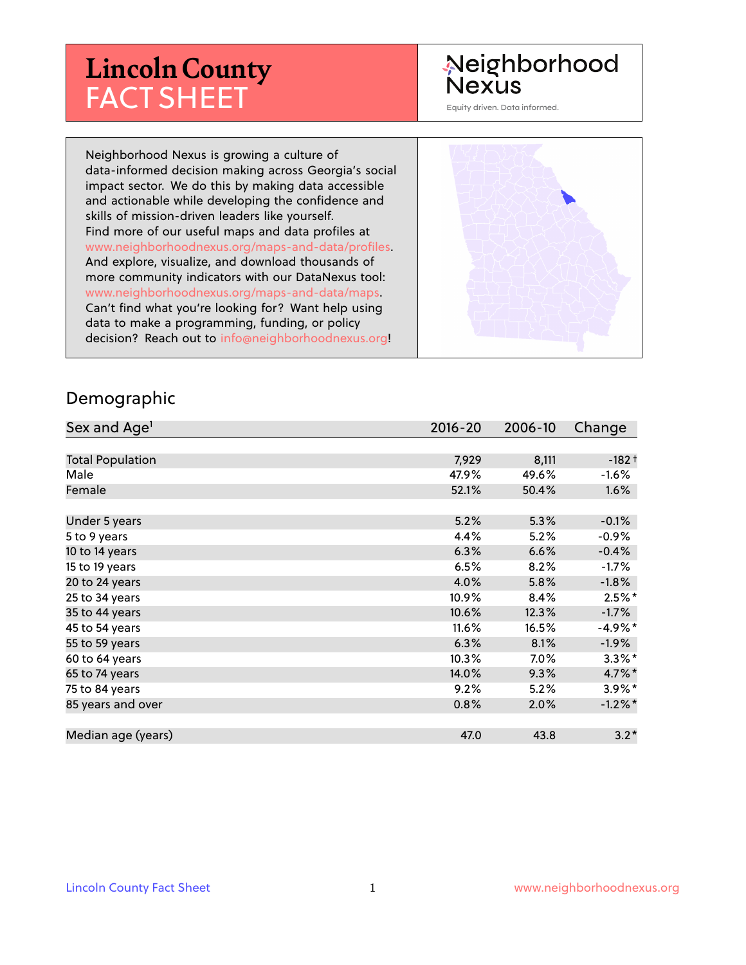# **Lincoln County** FACT SHEET

# Neighborhood **Nexus**

Equity driven. Data informed.

Neighborhood Nexus is growing a culture of data-informed decision making across Georgia's social impact sector. We do this by making data accessible and actionable while developing the confidence and skills of mission-driven leaders like yourself. Find more of our useful maps and data profiles at www.neighborhoodnexus.org/maps-and-data/profiles. And explore, visualize, and download thousands of more community indicators with our DataNexus tool: www.neighborhoodnexus.org/maps-and-data/maps. Can't find what you're looking for? Want help using data to make a programming, funding, or policy decision? Reach out to [info@neighborhoodnexus.org!](mailto:info@neighborhoodnexus.org)



#### Demographic

| Sex and Age <sup>1</sup> | $2016 - 20$ | 2006-10 | Change     |
|--------------------------|-------------|---------|------------|
|                          |             |         |            |
| <b>Total Population</b>  | 7,929       | 8,111   | $-182+$    |
| Male                     | 47.9%       | 49.6%   | $-1.6%$    |
| Female                   | 52.1%       | 50.4%   | $1.6\%$    |
|                          |             |         |            |
| Under 5 years            | 5.2%        | 5.3%    | $-0.1%$    |
| 5 to 9 years             | 4.4%        | 5.2%    | $-0.9\%$   |
| 10 to 14 years           | 6.3%        | 6.6%    | $-0.4%$    |
| 15 to 19 years           | 6.5%        | 8.2%    | $-1.7%$    |
| 20 to 24 years           | 4.0%        | 5.8%    | $-1.8%$    |
| 25 to 34 years           | 10.9%       | 8.4%    | $2.5%$ *   |
| 35 to 44 years           | 10.6%       | 12.3%   | $-1.7\%$   |
| 45 to 54 years           | 11.6%       | 16.5%   | $-4.9\%$ * |
| 55 to 59 years           | 6.3%        | 8.1%    | $-1.9%$    |
| 60 to 64 years           | 10.3%       | $7.0\%$ | $3.3\%$ *  |
| 65 to 74 years           | 14.0%       | 9.3%    | 4.7%*      |
| 75 to 84 years           | 9.2%        | 5.2%    | $3.9\%$ *  |
| 85 years and over        | 0.8%        | 2.0%    | $-1.2\%$ * |
|                          |             |         |            |
| Median age (years)       | 47.0        | 43.8    | $3.2*$     |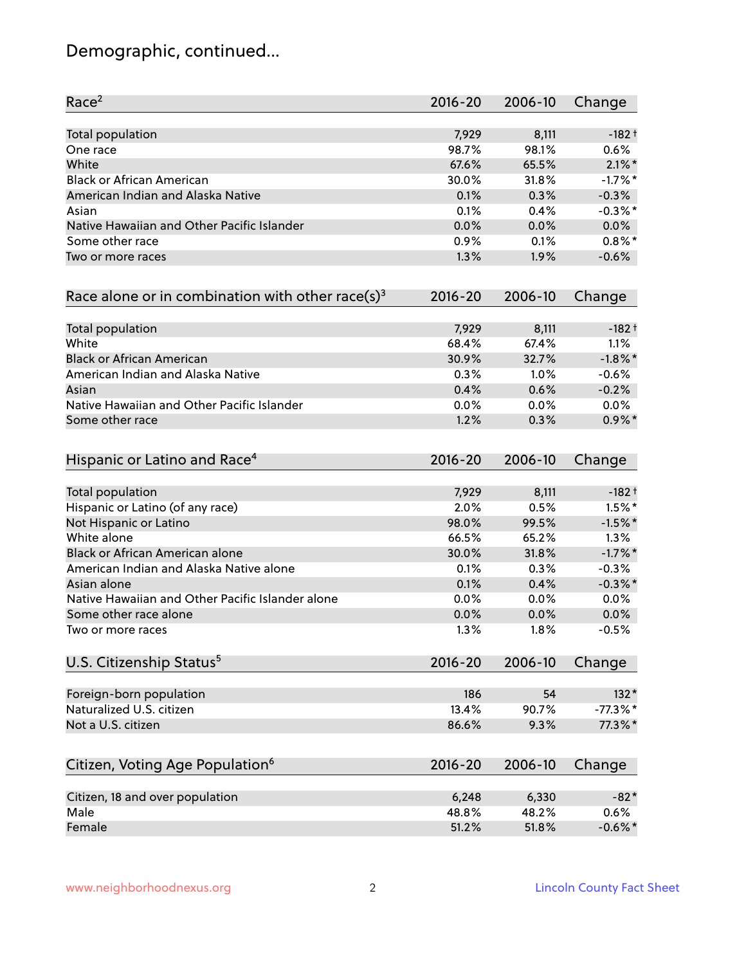# Demographic, continued...

| Race <sup>2</sup>                                            | $2016 - 20$ | 2006-10 | Change     |
|--------------------------------------------------------------|-------------|---------|------------|
| Total population                                             | 7,929       | 8,111   | $-182 +$   |
| One race                                                     | 98.7%       | 98.1%   | 0.6%       |
| White                                                        | 67.6%       | 65.5%   | $2.1\%$ *  |
| <b>Black or African American</b>                             | 30.0%       | 31.8%   | $-1.7%$ *  |
| American Indian and Alaska Native                            | 0.1%        | 0.3%    | $-0.3%$    |
| Asian                                                        | 0.1%        | 0.4%    | $-0.3\%$ * |
| Native Hawaiian and Other Pacific Islander                   | 0.0%        | 0.0%    | 0.0%       |
| Some other race                                              | 0.9%        | 0.1%    | $0.8\%$ *  |
| Two or more races                                            | 1.3%        | 1.9%    | $-0.6%$    |
| Race alone or in combination with other race(s) <sup>3</sup> | $2016 - 20$ | 2006-10 | Change     |
| Total population                                             | 7,929       | 8,111   | $-182 +$   |
| White                                                        | 68.4%       | 67.4%   | 1.1%       |
| <b>Black or African American</b>                             | 30.9%       | 32.7%   | $-1.8\%$ * |
| American Indian and Alaska Native                            | 0.3%        | 1.0%    | $-0.6%$    |
| Asian                                                        | 0.4%        | 0.6%    | $-0.2%$    |
| Native Hawaiian and Other Pacific Islander                   | 0.0%        | 0.0%    | 0.0%       |
| Some other race                                              | 1.2%        | 0.3%    | $0.9\%$ *  |
| Hispanic or Latino and Race <sup>4</sup>                     | $2016 - 20$ | 2006-10 | Change     |
| <b>Total population</b>                                      | 7,929       | 8,111   | $-182 +$   |
| Hispanic or Latino (of any race)                             | 2.0%        | 0.5%    | $1.5\%$ *  |
| Not Hispanic or Latino                                       | 98.0%       | 99.5%   | $-1.5%$ *  |
| White alone                                                  | 66.5%       | 65.2%   | 1.3%       |
| Black or African American alone                              | 30.0%       | 31.8%   | $-1.7\%$ * |
| American Indian and Alaska Native alone                      | 0.1%        | 0.3%    | $-0.3%$    |
| Asian alone                                                  | 0.1%        | 0.4%    | $-0.3\%$ * |
| Native Hawaiian and Other Pacific Islander alone             | 0.0%        | 0.0%    | 0.0%       |
| Some other race alone                                        | 0.0%        | 0.0%    | 0.0%       |
| Two or more races                                            | 1.3%        | 1.8%    | $-0.5%$    |
| U.S. Citizenship Status <sup>5</sup>                         | $2016 - 20$ | 2006-10 | Change     |
| Foreign-born population                                      | 186         | 54      | $132*$     |
| Naturalized U.S. citizen                                     | 13.4%       | 90.7%   | $-77.3%$   |
| Not a U.S. citizen                                           | 86.6%       | 9.3%    | 77.3%*     |
| Citizen, Voting Age Population <sup>6</sup>                  | $2016 - 20$ | 2006-10 | Change     |
| Citizen, 18 and over population                              | 6,248       | 6,330   | $-82*$     |
| Male                                                         | 48.8%       | 48.2%   | 0.6%       |
| Female                                                       | 51.2%       | 51.8%   | $-0.6\%$ * |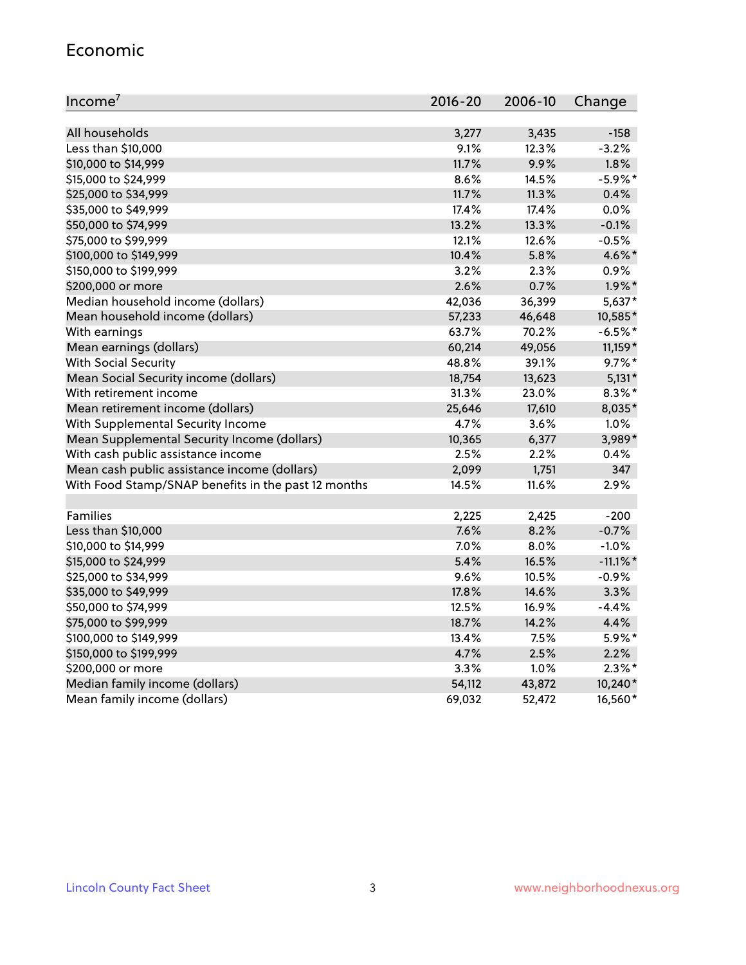#### Economic

| Income <sup>7</sup>                                 | $2016 - 20$ | 2006-10 | Change      |
|-----------------------------------------------------|-------------|---------|-------------|
|                                                     |             |         |             |
| All households                                      | 3,277       | 3,435   | $-158$      |
| Less than \$10,000                                  | 9.1%        | 12.3%   | $-3.2%$     |
| \$10,000 to \$14,999                                | 11.7%       | 9.9%    | 1.8%        |
| \$15,000 to \$24,999                                | 8.6%        | 14.5%   | $-5.9\%$ *  |
| \$25,000 to \$34,999                                | 11.7%       | 11.3%   | 0.4%        |
| \$35,000 to \$49,999                                | 17.4%       | 17.4%   | 0.0%        |
| \$50,000 to \$74,999                                | 13.2%       | 13.3%   | $-0.1%$     |
| \$75,000 to \$99,999                                | 12.1%       | 12.6%   | $-0.5%$     |
| \$100,000 to \$149,999                              | 10.4%       | 5.8%    | 4.6%*       |
| \$150,000 to \$199,999                              | 3.2%        | 2.3%    | 0.9%        |
| \$200,000 or more                                   | 2.6%        | 0.7%    | $1.9\%$ *   |
| Median household income (dollars)                   | 42,036      | 36,399  | 5,637*      |
| Mean household income (dollars)                     | 57,233      | 46,648  | 10,585*     |
| With earnings                                       | 63.7%       | 70.2%   | $-6.5%$ *   |
| Mean earnings (dollars)                             | 60,214      | 49,056  | 11,159 *    |
| <b>With Social Security</b>                         | 48.8%       | 39.1%   | $9.7\%$ *   |
| Mean Social Security income (dollars)               | 18,754      | 13,623  | $5,131*$    |
| With retirement income                              | 31.3%       | 23.0%   | $8.3\%$ *   |
| Mean retirement income (dollars)                    | 25,646      | 17,610  | 8,035*      |
| With Supplemental Security Income                   | 4.7%        | $3.6\%$ | 1.0%        |
| Mean Supplemental Security Income (dollars)         | 10,365      | 6,377   | 3,989*      |
| With cash public assistance income                  | 2.5%        | 2.2%    | 0.4%        |
| Mean cash public assistance income (dollars)        | 2,099       | 1,751   | 347         |
| With Food Stamp/SNAP benefits in the past 12 months | 14.5%       | 11.6%   | 2.9%        |
|                                                     |             |         |             |
| Families                                            | 2,225       | 2,425   | $-200$      |
| Less than \$10,000                                  | 7.6%        | 8.2%    | $-0.7%$     |
| \$10,000 to \$14,999                                | 7.0%        | 8.0%    | $-1.0%$     |
| \$15,000 to \$24,999                                | 5.4%        | 16.5%   | $-11.1\%$ * |
| \$25,000 to \$34,999                                | 9.6%        | 10.5%   | $-0.9%$     |
| \$35,000 to \$49,999                                | 17.8%       | 14.6%   | 3.3%        |
| \$50,000 to \$74,999                                | 12.5%       | 16.9%   | $-4.4%$     |
| \$75,000 to \$99,999                                | 18.7%       | 14.2%   | 4.4%        |
| \$100,000 to \$149,999                              | 13.4%       | 7.5%    | 5.9%*       |
| \$150,000 to \$199,999                              | 4.7%        | 2.5%    | 2.2%        |
| \$200,000 or more                                   | 3.3%        | 1.0%    | $2.3\%$ *   |
| Median family income (dollars)                      | 54,112      | 43,872  | 10,240*     |
| Mean family income (dollars)                        | 69,032      | 52,472  | 16,560*     |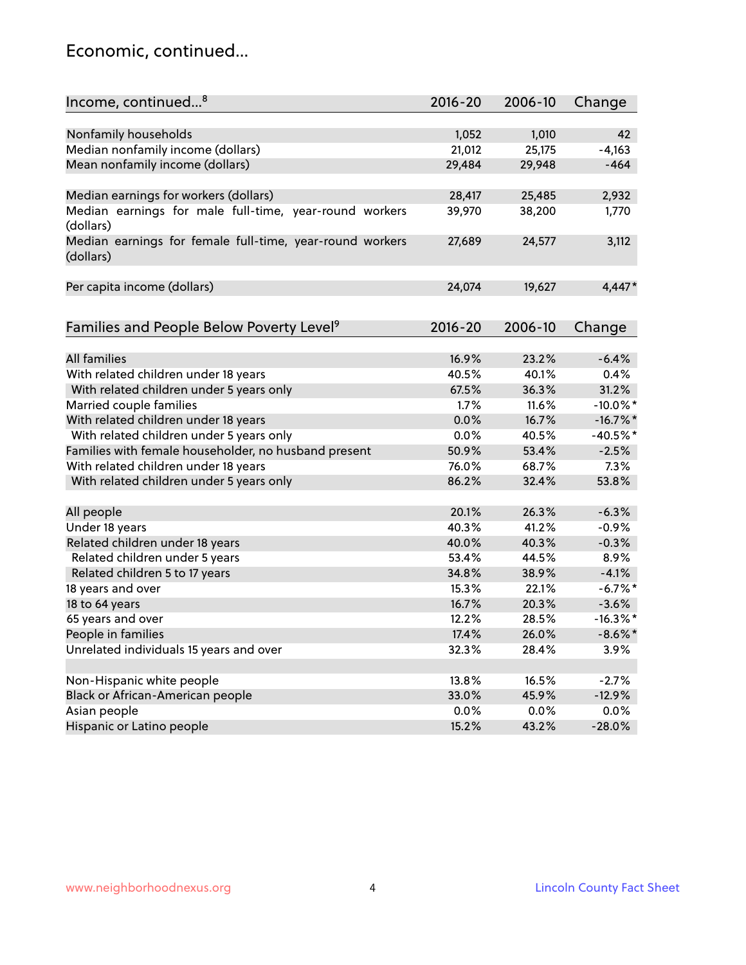### Economic, continued...

| Income, continued <sup>8</sup>                                        | $2016 - 20$ | 2006-10 | Change      |
|-----------------------------------------------------------------------|-------------|---------|-------------|
|                                                                       |             |         |             |
| Nonfamily households                                                  | 1,052       | 1,010   | 42          |
| Median nonfamily income (dollars)                                     | 21,012      | 25,175  | $-4,163$    |
| Mean nonfamily income (dollars)                                       | 29,484      | 29,948  | $-464$      |
|                                                                       |             |         |             |
| Median earnings for workers (dollars)                                 | 28,417      | 25,485  | 2,932       |
| Median earnings for male full-time, year-round workers<br>(dollars)   | 39,970      | 38,200  | 1,770       |
| Median earnings for female full-time, year-round workers<br>(dollars) | 27,689      | 24,577  | 3,112       |
| Per capita income (dollars)                                           | 24,074      | 19,627  | $4,447*$    |
|                                                                       |             |         |             |
| Families and People Below Poverty Level <sup>9</sup>                  | $2016 - 20$ | 2006-10 | Change      |
|                                                                       |             |         |             |
| <b>All families</b>                                                   | 16.9%       | 23.2%   | $-6.4%$     |
| With related children under 18 years                                  | 40.5%       | 40.1%   | 0.4%        |
| With related children under 5 years only                              | 67.5%       | 36.3%   | 31.2%       |
| Married couple families                                               | 1.7%        | 11.6%   | $-10.0\%$ * |
| With related children under 18 years                                  | 0.0%        | 16.7%   | $-16.7\%$   |
| With related children under 5 years only                              | 0.0%        | 40.5%   | $-40.5%$ *  |
| Families with female householder, no husband present                  | 50.9%       | 53.4%   | $-2.5%$     |
| With related children under 18 years                                  | 76.0%       | 68.7%   | 7.3%        |
| With related children under 5 years only                              | 86.2%       | 32.4%   | 53.8%       |
| All people                                                            | 20.1%       | 26.3%   | $-6.3%$     |
| Under 18 years                                                        | 40.3%       | 41.2%   | $-0.9%$     |
| Related children under 18 years                                       | 40.0%       | 40.3%   | $-0.3%$     |
|                                                                       | 53.4%       | 44.5%   | 8.9%        |
| Related children under 5 years                                        | 34.8%       |         |             |
| Related children 5 to 17 years                                        |             | 38.9%   | $-4.1%$     |
| 18 years and over                                                     | 15.3%       | 22.1%   | $-6.7\%$ *  |
| 18 to 64 years                                                        | 16.7%       | 20.3%   | $-3.6%$     |
| 65 years and over                                                     | 12.2%       | 28.5%   | $-16.3\%$ * |
| People in families                                                    | 17.4%       | 26.0%   | $-8.6\%$ *  |
| Unrelated individuals 15 years and over                               | 32.3%       | 28.4%   | 3.9%        |
|                                                                       |             |         |             |
| Non-Hispanic white people                                             | 13.8%       | 16.5%   | $-2.7%$     |
| Black or African-American people                                      | 33.0%       | 45.9%   | $-12.9%$    |
| Asian people                                                          | $0.0\%$     | 0.0%    | 0.0%        |
| Hispanic or Latino people                                             | 15.2%       | 43.2%   | $-28.0%$    |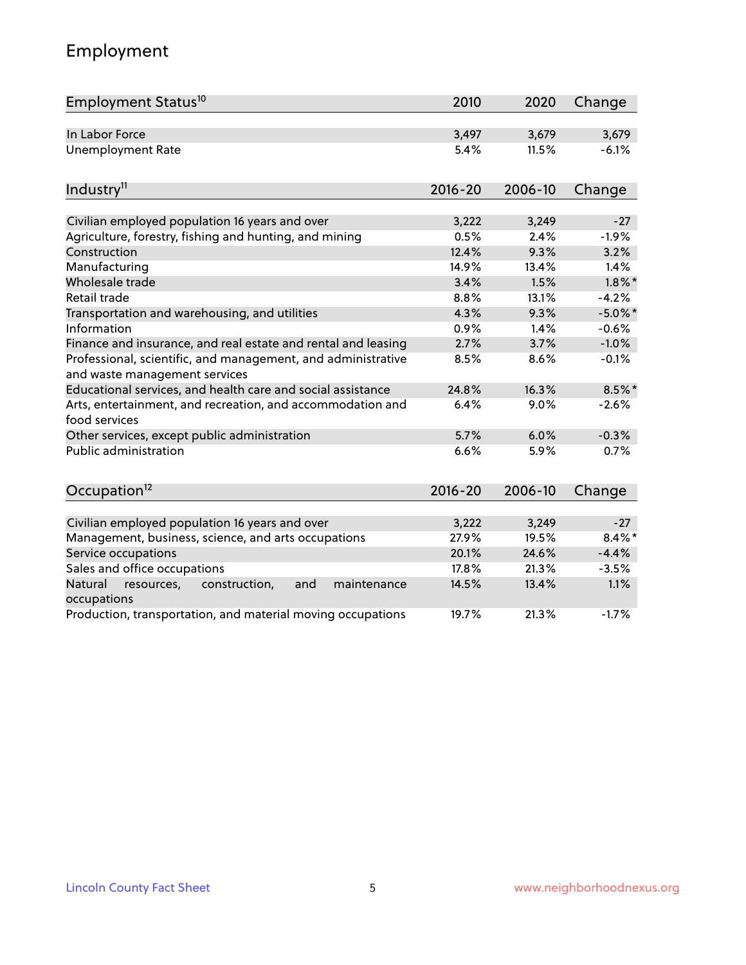# Employment

| Employment Status <sup>10</sup>                                                               | 2010        | 2020    | Change     |
|-----------------------------------------------------------------------------------------------|-------------|---------|------------|
| In Labor Force                                                                                | 3,497       | 3,679   | 3,679      |
| <b>Unemployment Rate</b>                                                                      | 5.4%        | 11.5%   | $-6.1%$    |
| Industry <sup>11</sup>                                                                        | $2016 - 20$ | 2006-10 | Change     |
|                                                                                               |             |         |            |
| Civilian employed population 16 years and over                                                | 3,222       | 3,249   | $-27$      |
| Agriculture, forestry, fishing and hunting, and mining                                        | 0.5%        | 2.4%    | $-1.9%$    |
| Construction                                                                                  | 12.4%       | 9.3%    | 3.2%       |
| Manufacturing                                                                                 | 14.9%       | 13.4%   | 1.4%       |
| Wholesale trade                                                                               | 3.4%        | 1.5%    | $1.8\%$ *  |
| Retail trade                                                                                  | 8.8%        | 13.1%   | $-4.2%$    |
| Transportation and warehousing, and utilities                                                 | 4.3%        | 9.3%    | $-5.0\%$ * |
| Information                                                                                   | 0.9%        | 1.4%    | $-0.6%$    |
| Finance and insurance, and real estate and rental and leasing                                 | 2.7%        | 3.7%    | $-1.0%$    |
| Professional, scientific, and management, and administrative<br>and waste management services | 8.5%        | 8.6%    | $-0.1%$    |
| Educational services, and health care and social assistance                                   | 24.8%       | 16.3%   | $8.5\%$ *  |
| Arts, entertainment, and recreation, and accommodation and<br>food services                   | 6.4%        | 9.0%    | $-2.6%$    |
| Other services, except public administration                                                  | 5.7%        | 6.0%    | $-0.3%$    |
| <b>Public administration</b>                                                                  | 6.6%        | 5.9%    | 0.7%       |
| Occupation <sup>12</sup>                                                                      | $2016 - 20$ | 2006-10 | Change     |
|                                                                                               |             |         |            |
| Civilian employed population 16 years and over                                                | 3,222       | 3,249   | $-27$      |
| Management, business, science, and arts occupations                                           | 27.9%       | 19.5%   | $8.4\%$ *  |
| Service occupations                                                                           | 20.1%       | 24.6%   | $-4.4%$    |
| Sales and office occupations                                                                  | 17.8%       | 21.3%   | $-3.5%$    |
| Natural<br>resources,<br>construction,<br>and<br>maintenance<br>occupations                   | 14.5%       | 13.4%   | 1.1%       |
| Production, transportation, and material moving occupations                                   | 19.7%       | 21.3%   | $-1.7%$    |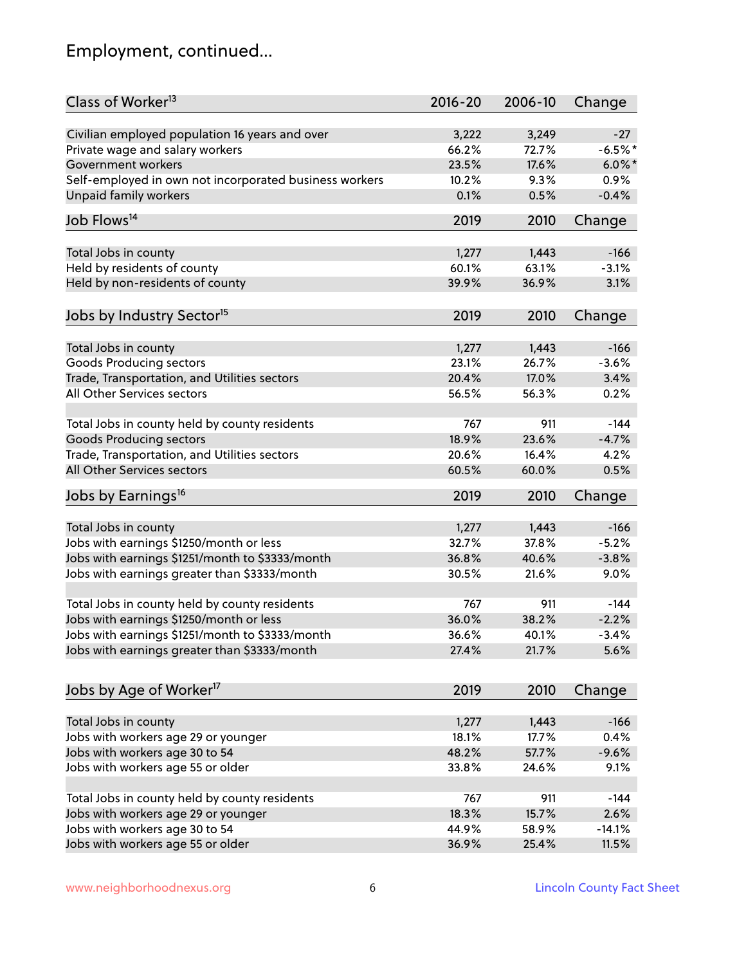# Employment, continued...

| Class of Worker <sup>13</sup>                          | $2016 - 20$ | 2006-10 | Change    |
|--------------------------------------------------------|-------------|---------|-----------|
| Civilian employed population 16 years and over         | 3,222       | 3,249   | $-27$     |
| Private wage and salary workers                        | 66.2%       | 72.7%   | $-6.5%$ * |
| Government workers                                     | 23.5%       | 17.6%   | $6.0\%$ * |
| Self-employed in own not incorporated business workers | 10.2%       | 9.3%    | 0.9%      |
| <b>Unpaid family workers</b>                           | 0.1%        | 0.5%    | $-0.4%$   |
| Job Flows <sup>14</sup>                                | 2019        | 2010    | Change    |
|                                                        |             |         |           |
| Total Jobs in county                                   | 1,277       | 1,443   | $-166$    |
| Held by residents of county                            | 60.1%       | 63.1%   | $-3.1%$   |
| Held by non-residents of county                        | 39.9%       | 36.9%   | 3.1%      |
| Jobs by Industry Sector <sup>15</sup>                  | 2019        | 2010    | Change    |
|                                                        |             |         |           |
| Total Jobs in county                                   | 1,277       | 1,443   | $-166$    |
| Goods Producing sectors                                | 23.1%       | 26.7%   | $-3.6%$   |
| Trade, Transportation, and Utilities sectors           | 20.4%       | 17.0%   | 3.4%      |
| All Other Services sectors                             | 56.5%       | 56.3%   | 0.2%      |
| Total Jobs in county held by county residents          | 767         | 911     | $-144$    |
| <b>Goods Producing sectors</b>                         | 18.9%       | 23.6%   | $-4.7%$   |
| Trade, Transportation, and Utilities sectors           | 20.6%       | 16.4%   | 4.2%      |
| All Other Services sectors                             | 60.5%       | 60.0%   | 0.5%      |
|                                                        |             |         |           |
| Jobs by Earnings <sup>16</sup>                         | 2019        | 2010    | Change    |
| Total Jobs in county                                   | 1,277       | 1,443   | $-166$    |
| Jobs with earnings \$1250/month or less                | 32.7%       | 37.8%   | $-5.2%$   |
| Jobs with earnings \$1251/month to \$3333/month        | 36.8%       | 40.6%   | $-3.8%$   |
| Jobs with earnings greater than \$3333/month           | 30.5%       | 21.6%   | 9.0%      |
|                                                        |             |         |           |
| Total Jobs in county held by county residents          | 767         | 911     | $-144$    |
| Jobs with earnings \$1250/month or less                | 36.0%       | 38.2%   | $-2.2%$   |
| Jobs with earnings \$1251/month to \$3333/month        | 36.6%       | 40.1%   | $-3.4%$   |
| Jobs with earnings greater than \$3333/month           | 27.4%       | 21.7%   | 5.6%      |
|                                                        |             |         |           |
| Jobs by Age of Worker <sup>17</sup>                    | 2019        | 2010    | Change    |
| Total Jobs in county                                   | 1,277       | 1,443   | $-166$    |
| Jobs with workers age 29 or younger                    | 18.1%       | 17.7%   | 0.4%      |
| Jobs with workers age 30 to 54                         | 48.2%       | 57.7%   | $-9.6%$   |
| Jobs with workers age 55 or older                      | 33.8%       | 24.6%   | 9.1%      |
|                                                        |             |         |           |
| Total Jobs in county held by county residents          | 767         | 911     | $-144$    |
| Jobs with workers age 29 or younger                    | 18.3%       | 15.7%   | 2.6%      |
| Jobs with workers age 30 to 54                         | 44.9%       | 58.9%   | $-14.1%$  |
| Jobs with workers age 55 or older                      | 36.9%       | 25.4%   | 11.5%     |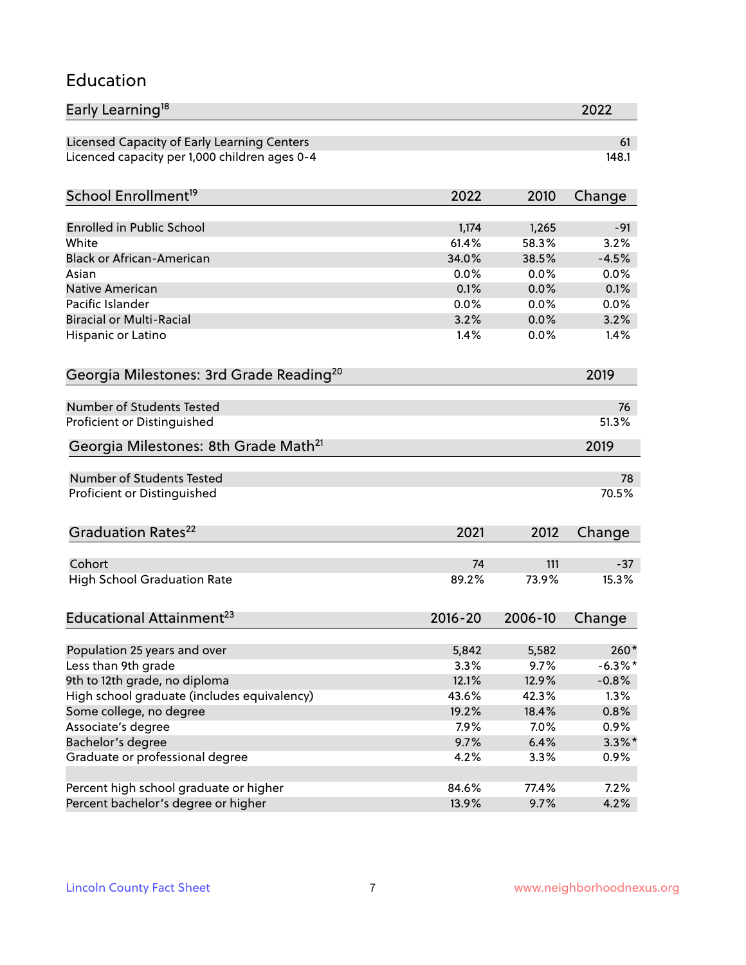#### Education

| Early Learning <sup>18</sup>                        |              |              | 2022         |
|-----------------------------------------------------|--------------|--------------|--------------|
| Licensed Capacity of Early Learning Centers         |              |              | 61           |
| Licenced capacity per 1,000 children ages 0-4       |              |              | 148.1        |
| School Enrollment <sup>19</sup>                     | 2022         | 2010         | Change       |
|                                                     |              |              |              |
| <b>Enrolled in Public School</b>                    | 1,174        | 1,265        | $-91$        |
| White<br><b>Black or African-American</b>           | 61.4%        | 58.3%        | 3.2%         |
|                                                     | 34.0%        | 38.5%        | $-4.5%$      |
| Asian<br><b>Native American</b>                     | 0.0%         | 0.0%         | 0.0%         |
| Pacific Islander                                    | 0.1%         | 0.0%         | 0.1%         |
| <b>Biracial or Multi-Racial</b>                     | 0.0%<br>3.2% | 0.0%<br>0.0% | 0.0%<br>3.2% |
|                                                     |              | 0.0%         |              |
| Hispanic or Latino                                  | 1.4%         |              | 1.4%         |
| Georgia Milestones: 3rd Grade Reading <sup>20</sup> |              |              | 2019         |
| <b>Number of Students Tested</b>                    |              |              | 76           |
| Proficient or Distinguished                         |              |              | 51.3%        |
|                                                     |              |              |              |
| Georgia Milestones: 8th Grade Math <sup>21</sup>    |              |              | 2019         |
| <b>Number of Students Tested</b>                    |              |              | 78           |
| Proficient or Distinguished                         |              |              | 70.5%        |
| Graduation Rates <sup>22</sup>                      | 2021         | 2012         | Change       |
| Cohort                                              | 74           | 111          | $-37$        |
| <b>High School Graduation Rate</b>                  | 89.2%        | 73.9%        | 15.3%        |
|                                                     |              |              |              |
| Educational Attainment <sup>23</sup>                | $2016 - 20$  | 2006-10      | Change       |
| Population 25 years and over                        | 5,842        | 5,582        | $260*$       |
| Less than 9th grade                                 | 3.3%         | 9.7%         | $-6.3\%$ *   |
| 9th to 12th grade, no diploma                       | 12.1%        | 12.9%        | $-0.8%$      |
| High school graduate (includes equivalency)         | 43.6%        | 42.3%        | 1.3%         |
| Some college, no degree                             | 19.2%        | 18.4%        | 0.8%         |
| Associate's degree                                  | 7.9%         | 7.0%         | 0.9%         |
| Bachelor's degree                                   | 9.7%         | 6.4%         | $3.3\%$ *    |
| Graduate or professional degree                     | 4.2%         | 3.3%         | 0.9%         |
|                                                     |              |              |              |
| Percent high school graduate or higher              | 84.6%        | 77.4%        | 7.2%         |
| Percent bachelor's degree or higher                 | 13.9%        | 9.7%         | 4.2%         |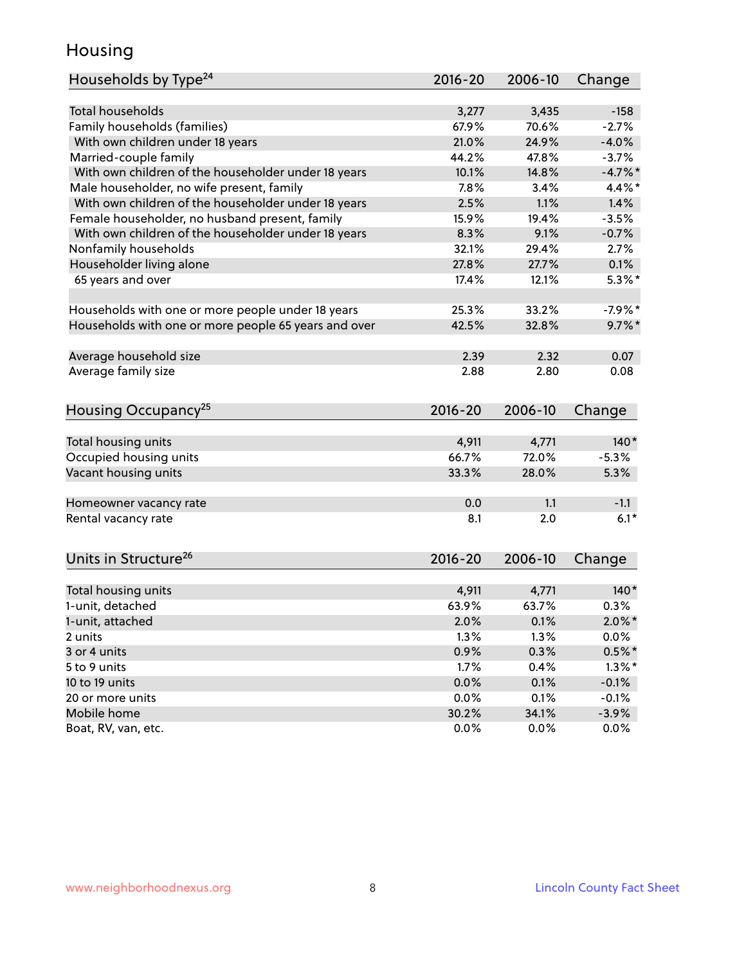### Housing

| Households by Type <sup>24</sup>                     | 2016-20        | 2006-10        | Change     |
|------------------------------------------------------|----------------|----------------|------------|
|                                                      |                |                |            |
| <b>Total households</b>                              | 3,277          | 3,435          | $-158$     |
| Family households (families)                         | 67.9%          | 70.6%          | $-2.7%$    |
| With own children under 18 years                     | 21.0%          | 24.9%          | $-4.0%$    |
| Married-couple family                                | 44.2%          | 47.8%          | $-3.7%$    |
| With own children of the householder under 18 years  | 10.1%          | 14.8%          | $-4.7\%$ * |
| Male householder, no wife present, family            | 7.8%           | 3.4%           | $4.4\%$ *  |
| With own children of the householder under 18 years  | 2.5%           | 1.1%           | 1.4%       |
| Female householder, no husband present, family       | 15.9%          | 19.4%          | $-3.5%$    |
| With own children of the householder under 18 years  | 8.3%           | 9.1%           | $-0.7%$    |
| Nonfamily households                                 | 32.1%          | 29.4%          | 2.7%       |
| Householder living alone                             | 27.8%          | 27.7%          | 0.1%       |
| 65 years and over                                    | 17.4%          | 12.1%          | $5.3\%$ *  |
|                                                      |                |                |            |
| Households with one or more people under 18 years    | 25.3%          | 33.2%          | $-7.9%$ *  |
| Households with one or more people 65 years and over | 42.5%          | 32.8%          | $9.7\%$ *  |
| Average household size                               | 2.39           | 2.32           | 0.07       |
| Average family size                                  | 2.88           | 2.80           | 0.08       |
|                                                      |                |                |            |
| Housing Occupancy <sup>25</sup>                      | $2016 - 20$    | 2006-10        | Change     |
|                                                      |                |                |            |
| Total housing units                                  | 4,911          | 4,771          | $140*$     |
| Occupied housing units                               | 66.7%          | 72.0%          | $-5.3%$    |
| Vacant housing units                                 | 33.3%          | 28.0%          | 5.3%       |
| Homeowner vacancy rate                               | 0.0            | 1.1            | $-1.1$     |
| Rental vacancy rate                                  | 8.1            | 2.0            | $6.1*$     |
|                                                      |                |                |            |
| Units in Structure <sup>26</sup>                     | 2016-20        | 2006-10        | Change     |
|                                                      |                |                | $140*$     |
| Total housing units<br>1-unit, detached              | 4,911<br>63.9% | 4,771<br>63.7% | 0.3%       |
|                                                      |                |                |            |
| 1-unit, attached                                     | 2.0%           | 0.1%           | $2.0\%$ *  |
| 2 units                                              | 1.3%           | 1.3%           | 0.0%       |
| 3 or 4 units                                         | 0.9%           | 0.3%           | $0.5\%$ *  |
| 5 to 9 units                                         | 1.7%           | 0.4%           | $1.3\%$ *  |
| 10 to 19 units                                       | 0.0%           | 0.1%           | $-0.1%$    |
| 20 or more units                                     | 0.0%           | 0.1%           | $-0.1%$    |
| Mobile home                                          | 30.2%          | 34.1%          | $-3.9%$    |
| Boat, RV, van, etc.                                  | 0.0%           | $0.0\%$        | $0.0\%$    |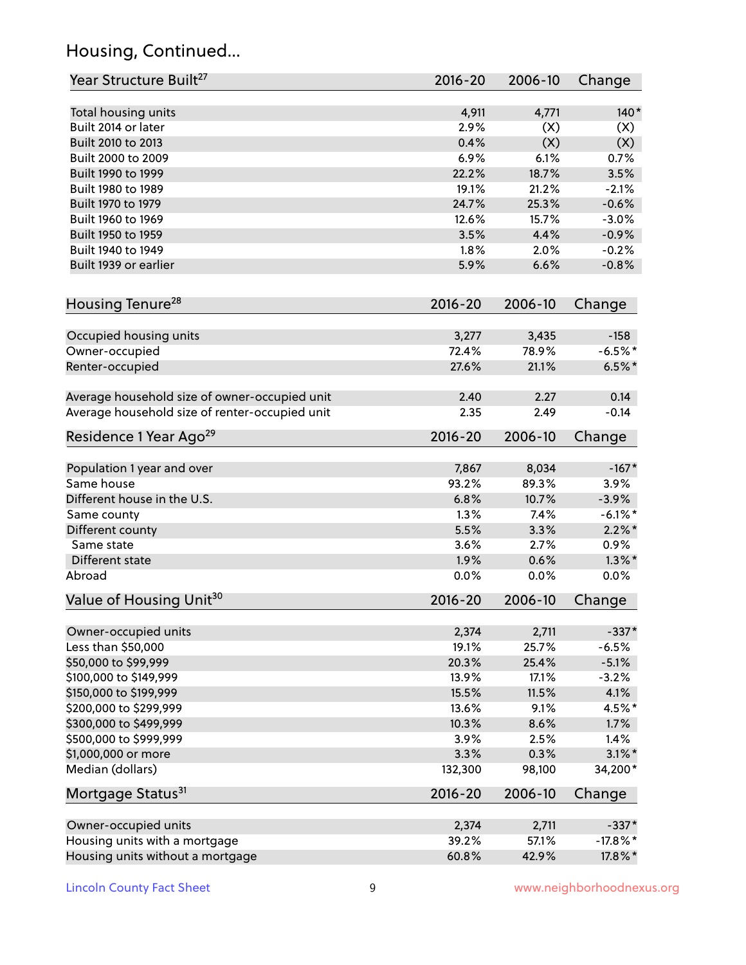# Housing, Continued...

| Year Structure Built <sup>27</sup>             | 2016-20      | 2006-10       | Change                |
|------------------------------------------------|--------------|---------------|-----------------------|
| Total housing units                            | 4,911        | 4,771         | $140*$                |
| Built 2014 or later                            | 2.9%         | (X)           | (X)                   |
| Built 2010 to 2013                             | 0.4%         | (X)           | (X)                   |
| Built 2000 to 2009                             | 6.9%         | 6.1%          | 0.7%                  |
| Built 1990 to 1999                             | 22.2%        | 18.7%         | 3.5%                  |
| Built 1980 to 1989                             | 19.1%        | 21.2%         | $-2.1%$               |
| Built 1970 to 1979                             | 24.7%        | 25.3%         | $-0.6%$               |
| Built 1960 to 1969                             | 12.6%        | 15.7%         | $-3.0%$               |
| Built 1950 to 1959                             | 3.5%         | 4.4%          | $-0.9%$               |
| Built 1940 to 1949                             | 1.8%         | 2.0%          | $-0.2%$               |
| Built 1939 or earlier                          | 5.9%         | 6.6%          | $-0.8%$               |
| Housing Tenure <sup>28</sup>                   | $2016 - 20$  | 2006-10       | Change                |
|                                                |              |               |                       |
| Occupied housing units                         | 3,277        | 3,435         | $-158$                |
| Owner-occupied                                 | 72.4%        | 78.9%         | $-6.5%$ *             |
| Renter-occupied                                | 27.6%        | 21.1%         | $6.5%$ *              |
| Average household size of owner-occupied unit  | 2.40         | 2.27          | 0.14                  |
| Average household size of renter-occupied unit | 2.35         | 2.49          | $-0.14$               |
| Residence 1 Year Ago <sup>29</sup>             | $2016 - 20$  | 2006-10       | Change                |
|                                                |              |               |                       |
| Population 1 year and over                     | 7,867        | 8,034         | $-167*$               |
| Same house                                     | 93.2%        | 89.3%         | 3.9%                  |
| Different house in the U.S.                    | 6.8%<br>1.3% | 10.7%<br>7.4% | $-3.9%$<br>$-6.1\%$ * |
| Same county                                    | 5.5%         | 3.3%          | $2.2\%$ *             |
| Different county<br>Same state                 | 3.6%         | 2.7%          | 0.9%                  |
| Different state                                | 1.9%         | 0.6%          | $1.3\%$ *             |
| Abroad                                         | 0.0%         | 0.0%          | 0.0%                  |
|                                                |              |               |                       |
| Value of Housing Unit <sup>30</sup>            | 2016-20      | 2006-10       | Change                |
| Owner-occupied units                           | 2,374        | 2,711         | $-337*$               |
| Less than \$50,000                             | 19.1%        | 25.7%         | $-6.5%$               |
| \$50,000 to \$99,999                           | 20.3%        | 25.4%         | $-5.1%$               |
| \$100,000 to \$149,999                         | 13.9%        | 17.1%         | $-3.2%$               |
| \$150,000 to \$199,999                         | 15.5%        | 11.5%         | 4.1%                  |
| \$200,000 to \$299,999                         | 13.6%        | 9.1%          | 4.5%*                 |
| \$300,000 to \$499,999                         | 10.3%        | 8.6%          | 1.7%                  |
| \$500,000 to \$999,999                         | 3.9%         | 2.5%          | 1.4%                  |
| \$1,000,000 or more                            | 3.3%         | 0.3%          | $3.1\%$ *             |
| Median (dollars)                               | 132,300      | 98,100        | 34,200*               |
| Mortgage Status <sup>31</sup>                  | $2016 - 20$  | 2006-10       | Change                |
| Owner-occupied units                           | 2,374        | 2,711         | $-337*$               |
| Housing units with a mortgage                  | 39.2%        | 57.1%         | $-17.8\%$ *           |
| Housing units without a mortgage               | 60.8%        | 42.9%         | 17.8%*                |
|                                                |              |               |                       |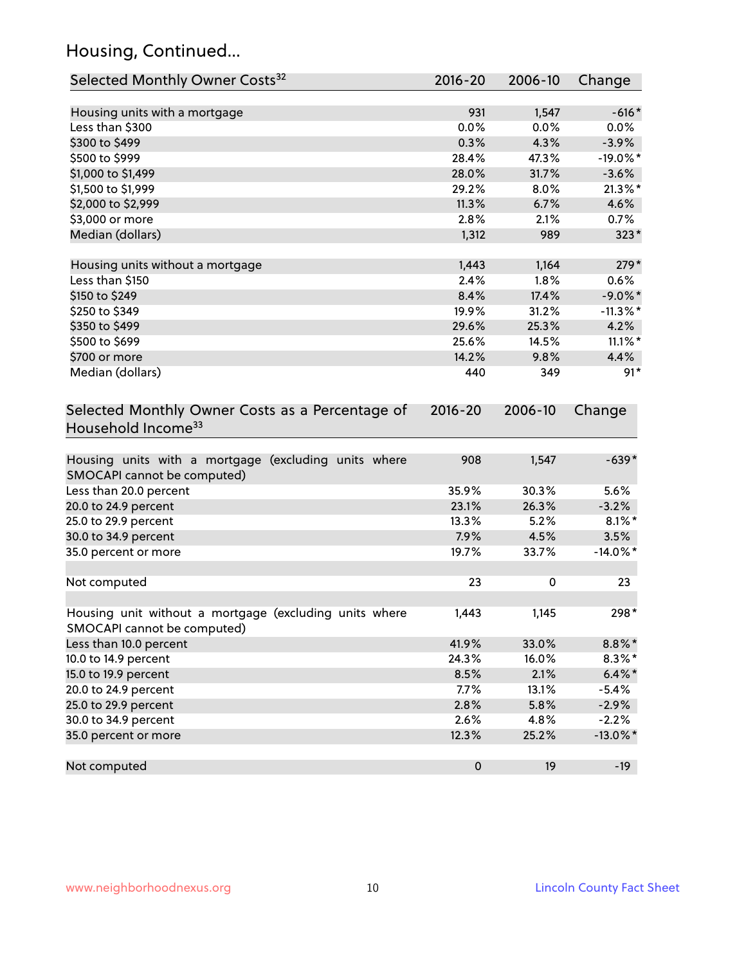# Housing, Continued...

| Selected Monthly Owner Costs <sup>32</sup>                                            | 2016-20     | 2006-10 | Change      |
|---------------------------------------------------------------------------------------|-------------|---------|-------------|
| Housing units with a mortgage                                                         | 931         | 1,547   | $-616*$     |
| Less than \$300                                                                       | 0.0%        | 0.0%    | $0.0\%$     |
| \$300 to \$499                                                                        | 0.3%        | 4.3%    | $-3.9%$     |
| \$500 to \$999                                                                        | 28.4%       | 47.3%   | $-19.0\%$ * |
| \$1,000 to \$1,499                                                                    | 28.0%       | 31.7%   | $-3.6%$     |
| \$1,500 to \$1,999                                                                    | 29.2%       | 8.0%    | $21.3\%$ *  |
| \$2,000 to \$2,999                                                                    | 11.3%       | 6.7%    | 4.6%        |
| \$3,000 or more                                                                       | 2.8%        | 2.1%    | 0.7%        |
| Median (dollars)                                                                      | 1,312       | 989     | $323*$      |
| Housing units without a mortgage                                                      | 1,443       | 1,164   | $279*$      |
| Less than \$150                                                                       | 2.4%        | 1.8%    | 0.6%        |
| \$150 to \$249                                                                        | 8.4%        | 17.4%   | $-9.0\%$ *  |
| \$250 to \$349                                                                        | 19.9%       | 31.2%   | $-11.3\%$ * |
| \$350 to \$499                                                                        | 29.6%       | 25.3%   | 4.2%        |
| \$500 to \$699                                                                        | 25.6%       | 14.5%   | $11.1\%$ *  |
| \$700 or more                                                                         | 14.2%       | 9.8%    | 4.4%        |
| Median (dollars)                                                                      | 440         | 349     | $91*$       |
| Selected Monthly Owner Costs as a Percentage of<br>Household Income <sup>33</sup>     | $2016 - 20$ | 2006-10 | Change      |
| Housing units with a mortgage (excluding units where<br>SMOCAPI cannot be computed)   | 908         | 1,547   | $-639*$     |
| Less than 20.0 percent                                                                | 35.9%       | 30.3%   | 5.6%        |
| 20.0 to 24.9 percent                                                                  | 23.1%       | 26.3%   | $-3.2%$     |
| 25.0 to 29.9 percent                                                                  | 13.3%       | 5.2%    | $8.1\%$ *   |
| 30.0 to 34.9 percent                                                                  | 7.9%        | 4.5%    | 3.5%        |
| 35.0 percent or more                                                                  | 19.7%       | 33.7%   | $-14.0\%$ * |
| Not computed                                                                          | 23          | 0       | 23          |
| Housing unit without a mortgage (excluding units where<br>SMOCAPI cannot be computed) | 1,443       | 1,145   | 298*        |
| Less than 10.0 percent                                                                | 41.9%       | 33.0%   | $8.8\% *$   |
| 10.0 to 14.9 percent                                                                  | 24.3%       | 16.0%   | $8.3\%$ *   |
| 15.0 to 19.9 percent                                                                  | 8.5%        | 2.1%    | $6.4\%*$    |
| 20.0 to 24.9 percent                                                                  | 7.7%        | 13.1%   | $-5.4%$     |
| 25.0 to 29.9 percent                                                                  | 2.8%        | 5.8%    | $-2.9%$     |
| 30.0 to 34.9 percent                                                                  | 2.6%        | 4.8%    | $-2.2%$     |
| 35.0 percent or more                                                                  | 12.3%       | 25.2%   | $-13.0\%$ * |
| Not computed                                                                          | $\pmb{0}$   | 19      | $-19$       |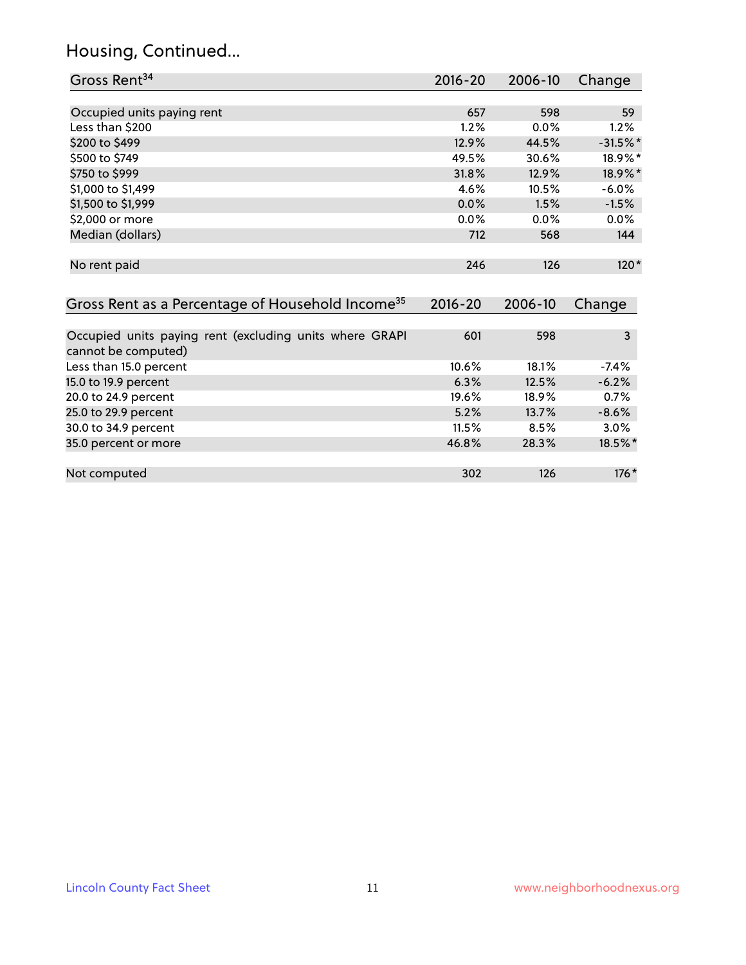# Housing, Continued...

| Gross Rent <sup>34</sup>                                                       | 2016-20     | 2006-10 | Change     |
|--------------------------------------------------------------------------------|-------------|---------|------------|
|                                                                                |             |         |            |
| Occupied units paying rent                                                     | 657         | 598     | 59         |
| Less than \$200                                                                | 1.2%        | 0.0%    | 1.2%       |
| \$200 to \$499                                                                 | 12.9%       | 44.5%   | $-31.5%$ * |
| \$500 to \$749                                                                 | 49.5%       | 30.6%   | 18.9%*     |
| \$750 to \$999                                                                 | 31.8%       | 12.9%   | 18.9%*     |
| \$1,000 to \$1,499                                                             | 4.6%        | 10.5%   | $-6.0%$    |
| \$1,500 to \$1,999                                                             | 0.0%        | 1.5%    | $-1.5%$    |
| \$2,000 or more                                                                | 0.0%        | 0.0%    | $0.0\%$    |
| Median (dollars)                                                               | 712         | 568     | 144        |
| No rent paid                                                                   | 246         | 126     | $120*$     |
| Gross Rent as a Percentage of Household Income <sup>35</sup>                   | $2016 - 20$ | 2006-10 | Change     |
| Occupied units paying rent (excluding units where GRAPI<br>cannot be computed) | 601         | 598     | 3          |
| Less than 15.0 percent                                                         | 10.6%       | 18.1%   | $-7.4%$    |
| 15.0 to 19.9 percent                                                           | 6.3%        | 12.5%   | $-6.2%$    |
| 20.0 to 24.9 percent                                                           | 19.6%       | 18.9%   | 0.7%       |
| 25.0 to 29.9 percent                                                           | 5.2%        | 13.7%   | $-8.6%$    |
| 30.0 to 34.9 percent                                                           | 11.5%       | 8.5%    | 3.0%       |
| 35.0 percent or more                                                           | 46.8%       | 28.3%   | 18.5%*     |
| Not computed                                                                   | 302         | 126     | $176*$     |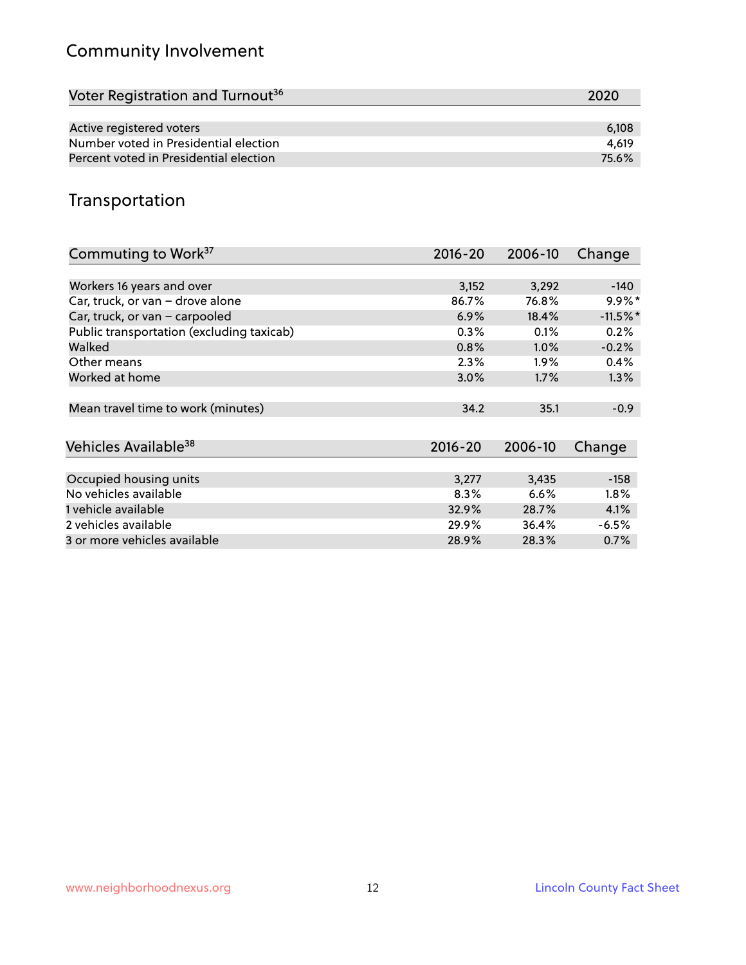# Community Involvement

| Voter Registration and Turnout <sup>36</sup> | 2020  |
|----------------------------------------------|-------|
|                                              |       |
| Active registered voters                     | 6.108 |
| Number voted in Presidential election        | 4.619 |
| Percent voted in Presidential election       | 75.6% |

# Transportation

| Commuting to Work <sup>37</sup>           | $2016 - 20$ | 2006-10 | Change     |
|-------------------------------------------|-------------|---------|------------|
|                                           |             |         |            |
| Workers 16 years and over                 | 3,152       | 3,292   | $-140$     |
| Car, truck, or van - drove alone          | 86.7%       | 76.8%   | $9.9\%$ *  |
| Car, truck, or van - carpooled            | 6.9%        | 18.4%   | $-11.5%$ * |
| Public transportation (excluding taxicab) | 0.3%        | 0.1%    | 0.2%       |
| Walked                                    | 0.8%        | $1.0\%$ | $-0.2%$    |
| Other means                               | 2.3%        | $1.9\%$ | 0.4%       |
| Worked at home                            | 3.0%        | 1.7%    | 1.3%       |
|                                           |             |         |            |
| Mean travel time to work (minutes)        | 34.2        | 35.1    | $-0.9$     |
|                                           |             |         |            |
| Vehicles Available <sup>38</sup>          | $2016 - 20$ | 2006-10 | Change     |
|                                           |             |         |            |
| Occupied housing units                    | 3,277       | 3,435   | $-158$     |
| No vehicles available                     | 8.3%        | 6.6%    | $1.8\%$    |
| 1 vehicle available                       | 32.9%       | 28.7%   | 4.1%       |
| 2 vehicles available                      | 29.9%       | 36.4%   | $-6.5%$    |
| 3 or more vehicles available              | 28.9%       | 28.3%   | 0.7%       |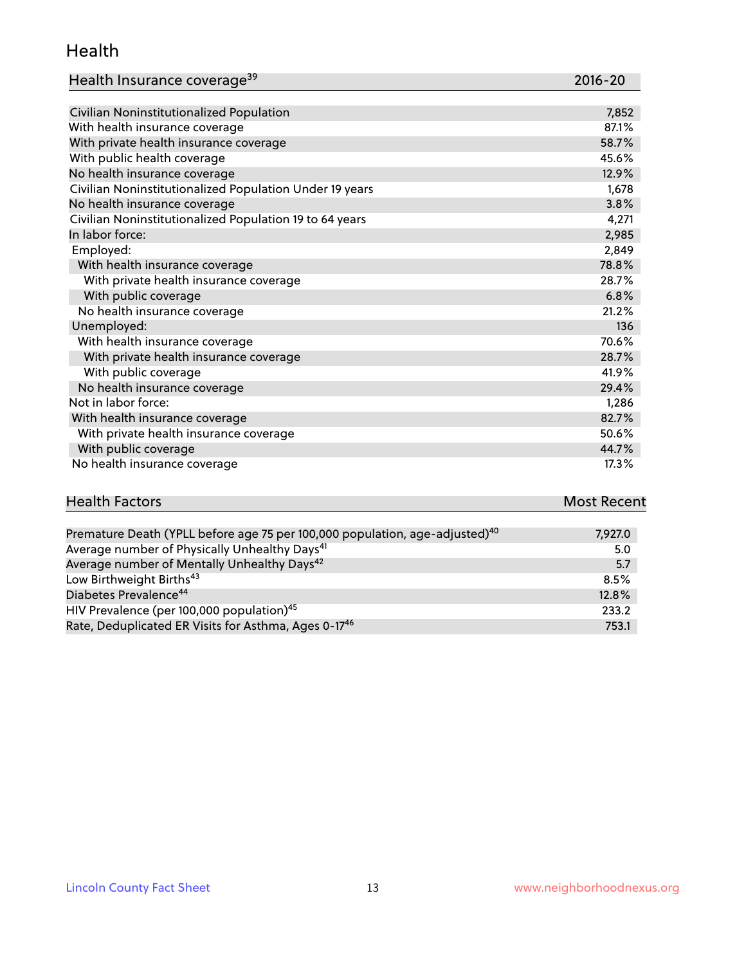#### Health

| Health Insurance coverage <sup>39</sup> | 2016-20 |
|-----------------------------------------|---------|
|-----------------------------------------|---------|

| Civilian Noninstitutionalized Population                | 7,852 |
|---------------------------------------------------------|-------|
| With health insurance coverage                          | 87.1% |
| With private health insurance coverage                  | 58.7% |
| With public health coverage                             | 45.6% |
| No health insurance coverage                            | 12.9% |
| Civilian Noninstitutionalized Population Under 19 years | 1,678 |
| No health insurance coverage                            | 3.8%  |
| Civilian Noninstitutionalized Population 19 to 64 years | 4,271 |
| In labor force:                                         | 2,985 |
| Employed:                                               | 2,849 |
| With health insurance coverage                          | 78.8% |
| With private health insurance coverage                  | 28.7% |
| With public coverage                                    | 6.8%  |
| No health insurance coverage                            | 21.2% |
| Unemployed:                                             | 136   |
| With health insurance coverage                          | 70.6% |
| With private health insurance coverage                  | 28.7% |
| With public coverage                                    | 41.9% |
| No health insurance coverage                            | 29.4% |
| Not in labor force:                                     | 1,286 |
| With health insurance coverage                          | 82.7% |
| With private health insurance coverage                  | 50.6% |
| With public coverage                                    | 44.7% |
| No health insurance coverage                            | 17.3% |

| <b>Health Factors</b> |                                             | <b>Most Recent</b> |
|-----------------------|---------------------------------------------|--------------------|
|                       |                                             |                    |
|                       | the company's company's company's company's |                    |

| Premature Death (YPLL before age 75 per 100,000 population, age-adjusted) <sup>40</sup> | 7,927.0 |
|-----------------------------------------------------------------------------------------|---------|
| Average number of Physically Unhealthy Days <sup>41</sup>                               | 5.0     |
| Average number of Mentally Unhealthy Days <sup>42</sup>                                 | 5.7     |
| Low Birthweight Births <sup>43</sup>                                                    | 8.5%    |
| Diabetes Prevalence <sup>44</sup>                                                       | 12.8%   |
| HIV Prevalence (per 100,000 population) <sup>45</sup>                                   | 233.2   |
| Rate, Deduplicated ER Visits for Asthma, Ages 0-17 <sup>46</sup>                        | 753.1   |